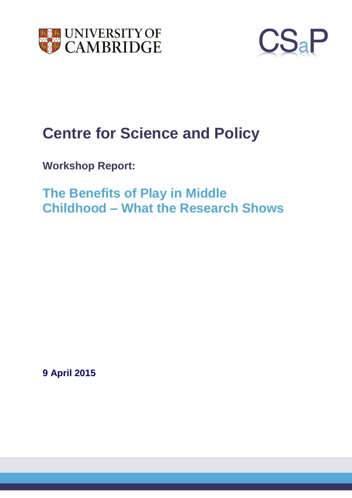



# **Centre for Science and Policy**

**Workshop Report:**

**The Benefits of Play in Middle Childhood – What the Research Shows**

**9 April 2015**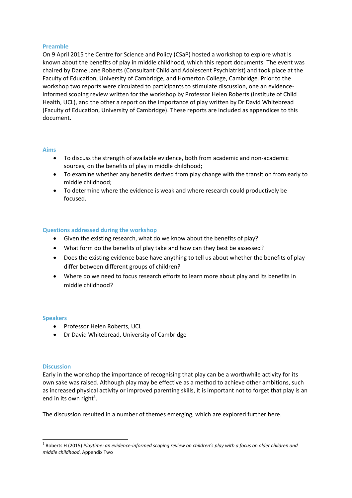### **Preamble**

On 9 April 2015 the Centre for Science and Policy (CSaP) hosted a workshop to explore what is known about the benefits of play in middle childhood, which this report documents. The event was chaired by Dame Jane Roberts (Consultant Child and Adolescent Psychiatrist) and took place at the Faculty of Education, University of Cambridge, and Homerton College, Cambridge. Prior to the workshop two reports were circulated to participants to stimulate discussion, one an evidenceinformed scoping review written for the workshop by Professor Helen Roberts (Institute of Child Health, UCL), and the other a report on the importance of play written by Dr David Whitebread (Faculty of Education, University of Cambridge). These reports are included as appendices to this document.

### **Aims**

- To discuss the strength of available evidence, both from academic and non-academic sources, on the benefits of play in middle childhood;
- To examine whether any benefits derived from play change with the transition from early to middle childhood;
- To determine where the evidence is weak and where research could productively be focused.

## **Questions addressed during the workshop**

- Given the existing research, what do we know about the benefits of play?
- What form do the benefits of play take and how can they best be assessed?
- Does the existing evidence base have anything to tell us about whether the benefits of play differ between different groups of children?
- Where do we need to focus research efforts to learn more about play and its benefits in middle childhood?

### **Speakers**

- **•** Professor Helen Roberts, UCL
- Dr David Whitebread, University of Cambridge

### **Discussion**

 $\overline{\phantom{a}}$ 

Early in the workshop the importance of recognising that play can be a worthwhile activity for its own sake was raised. Although play may be effective as a method to achieve other ambitions, such as increased physical activity or improved parenting skills, it is important not to forget that play is an end in its own right $^1$ .

The discussion resulted in a number of themes emerging, which are explored further here.

<sup>1</sup> Roberts H (2015) *Playtime: an evidence-informed scoping review on children's play with a focus on older children and middle childhood*, Appendix Two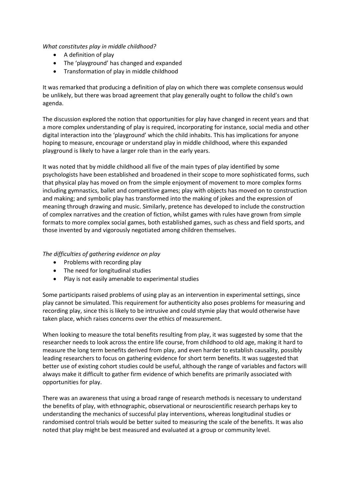## *What constitutes play in middle childhood?*

- A definition of play
- The 'playground' has changed and expanded
- Transformation of play in middle childhood

It was remarked that producing a definition of play on which there was complete consensus would be unlikely, but there was broad agreement that play generally ought to follow the child's own agenda.

The discussion explored the notion that opportunities for play have changed in recent years and that a more complex understanding of play is required, incorporating for instance, social media and other digital interaction into the 'playground' which the child inhabits. This has implications for anyone hoping to measure, encourage or understand play in middle childhood, where this expanded playground is likely to have a larger role than in the early years.

It was noted that by middle childhood all five of the main types of play identified by some psychologists have been established and broadened in their scope to more sophisticated forms, such that physical play has moved on from the simple enjoyment of movement to more complex forms including gymnastics, ballet and competitive games; play with objects has moved on to construction and making; and symbolic play has transformed into the making of jokes and the expression of meaning through drawing and music. Similarly, pretence has developed to include the construction of complex narratives and the creation of fiction, whilst games with rules have grown from simple formats to more complex social games, both established games, such as chess and field sports, and those invented by and vigorously negotiated among children themselves.

*The difficulties of gathering evidence on play*

- Problems with recording play
- The need for longitudinal studies
- Play is not easily amenable to experimental studies

Some participants raised problems of using play as an intervention in experimental settings, since play cannot be simulated. This requirement for authenticity also poses problems for measuring and recording play, since this is likely to be intrusive and could stymie play that would otherwise have taken place, which raises concerns over the ethics of measurement.

When looking to measure the total benefits resulting from play, it was suggested by some that the researcher needs to look across the entire life course, from childhood to old age, making it hard to measure the long term benefits derived from play, and even harder to establish causality, possibly leading researchers to focus on gathering evidence for short term benefits. It was suggested that better use of existing cohort studies could be useful, although the range of variables and factors will always make it difficult to gather firm evidence of which benefits are primarily associated with opportunities for play.

There was an awareness that using a broad range of research methods is necessary to understand the benefits of play, with ethnographic, observational or neuroscientific research perhaps key to understanding the mechanics of successful play interventions, whereas longitudinal studies or randomised control trials would be better suited to measuring the scale of the benefits. It was also noted that play might be best measured and evaluated at a group or community level.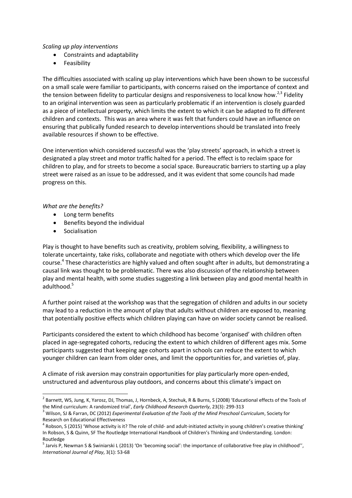### *Scaling up play interventions*

- Constraints and adaptability
- **•** Feasibility

The difficulties associated with scaling up play interventions which have been shown to be successful on a small scale were familiar to participants, with concerns raised on the importance of context and the tension between fidelity to particular designs and responsiveness to local know how.<sup>2,3</sup> Fidelity to an original intervention was seen as particularly problematic if an intervention is closely guarded as a piece of intellectual property, which limits the extent to which it can be adapted to fit different children and contexts. This was an area where it was felt that funders could have an influence on ensuring that publically funded research to develop interventions should be translated into freely available resources if shown to be effective.

One intervention which considered successful was the 'play streets' approach, in which a street is designated a play street and motor traffic halted for a period. The effect is to reclaim space for children to play, and for streets to become a social space. Bureaucratic barriers to starting up a play street were raised as an issue to be addressed, and it was evident that some councils had made progress on this.

### *What are the benefits?*

- Long term benefits
- Benefits beyond the individual
- **•** Socialisation

 $\overline{a}$ 

Play is thought to have benefits such as creativity, problem solving, flexibility, a willingness to tolerate uncertainty, take risks, collaborate and negotiate with others which develop over the life course. 4 These characteristics are highly valued and often sought after in adults, but demonstrating a causal link was thought to be problematic. There was also discussion of the relationship between play and mental health, with some studies suggesting a link between play and good mental health in adulthood. 5

A further point raised at the workshop was that the segregation of children and adults in our society may lead to a reduction in the amount of play that adults without children are exposed to, meaning that potentially positive effects which children playing can have on wider society cannot be realised.

Participants considered the extent to which childhood has become 'organised' with children often placed in age-segregated cohorts, reducing the extent to which children of different ages mix. Some participants suggested that keeping age cohorts apart in schools can reduce the extent to which younger children can learn from older ones, and limit the opportunities for, and varieties of, play.

A climate of risk aversion may constrain opportunities for play particularly more open-ended, unstructured and adventurous play outdoors, and concerns about this climate's impact on

 $^2$  Barnett, WS, Jung, K, Yarosz, DJ, Thomas, J, Hornbeck, A, Stechuk, R & Burns, S (2008) 'Educational effects of the Tools of the Mind curriculum: A randomized trial', *Early Childhood Research Quarterly*, 23(3): 299-313

<sup>3</sup> Wilson, SJ & Farran, DC (2012) *Experimental Evaluation of the Tools of the Mind Preschool Curriculum*, Society for Research on Educational Effectiveness

 $^4$  Robson, S (2015) 'Whose activity is it? The role of child- and adult-initiated activity in young children's creative thinking' In Robson, S & Quinn, SF The Routledge International Handbook of Children's Thinking and Understanding. London: Routledge

<sup>&</sup>lt;sup>5</sup> Jarvis P, Newman S & Swiniarski L (2013) 'On 'becoming social': the importance of collaborative free play in childhood'', *International Journal of Play*, 3(1): 53-68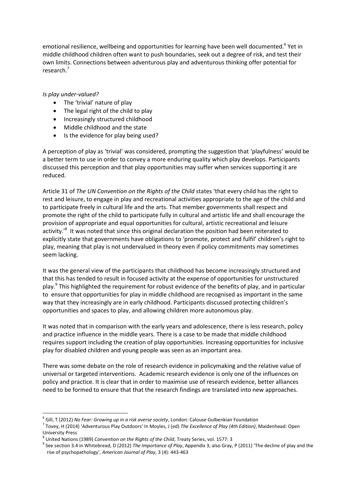emotional resilience, wellbeing and opportunities for learning have been well documented.<sup>6</sup> Yet in middle childhood children often want to push boundaries, seek out a degree of risk, and test their own limits. Connections between adventurous play and adventurous thinking offer potential for research. 7

## *Is play under-valued?*

- The 'trivial' nature of play
- The legal right of the child to play
- Increasingly structured childhood
- Middle childhood and the state
- Is the evidence for play being used?

A perception of play as 'trivial' was considered, prompting the suggestion that 'playfulness' would be a better term to use in order to convey a more enduring quality which play develops. Participants discussed this perception and that play opportunities may suffer when services supporting it are reduced.

Article 31 of *The UN Convention on the Rights of the Child* states 'that every child has the right to rest and leisure, to engage in play and recreational activities appropriate to the age of the child and to participate freely in cultural life and the arts. That member governments shall respect and promote the right of the child to participate fully in cultural and artistic life and shall encourage the provision of appropriate and equal opportunities for cultural, artistic recreational and leisure activity.<sup>,8</sup> It was noted that since this original declaration the position had been reiterated to explicitly state that governments have obligations to 'promote, protect and fulfil' children's right to play, meaning that play is not undervalued in theory even if policy commitments may sometimes seem lacking.

It was the general view of the participants that childhood has become increasingly structured and that this has tended to result in focused activity at the expense of opportunities for unstructured play.<sup>9</sup> This highlighted the requirement for robust evidence of the benefits of play, and in particular to ensure that opportunities for play in middle childhood are recognised as important in the same way that they increasingly are in early childhood. Participants discussed protecting children's opportunities and spaces to play, and allowing children more autonomous play.

It was noted that in comparison with the early years and adolescence, there is less research, policy and practice influence in the middle years. There is a case to be made that middle childhood requires support including the creation of play opportunities. Increasing opportunities for inclusive play for disabled children and young people was seen as an important area.

There was some debate on the role of research evidence in policymaking and the relative value of universal or targeted interventions. Academic research evidence is only one of the influences on policy and practice. It is clear that in order to maximise use of research evidence, better alliances need to be formed to ensure that that the research findings are translated into new approaches.

 $\overline{a}$ 6 Gill, T (2012) *No Fear: Growing up in a risk averse society*, London: Calouse Gulbenkian Foundation

<sup>7</sup> Tovey, H (2014) 'Adventurous Play Outdoors' In Moyles, J (ed) *The Excellence of Play (4th Edition)*, Maidenhead: Open University Press

<sup>8</sup> United Nations (1989) *Convention on the Rights of the Child*, Treaty Series, vol. 1577: 3

<sup>9</sup> See section 3.4 in Whitebread, D (2012) *The Importance of Play*, Appendix 3; also Gray, P (2011) 'The decline of play and the rise of psychopathology', *American Journal of Play*, 3 (4): 443-463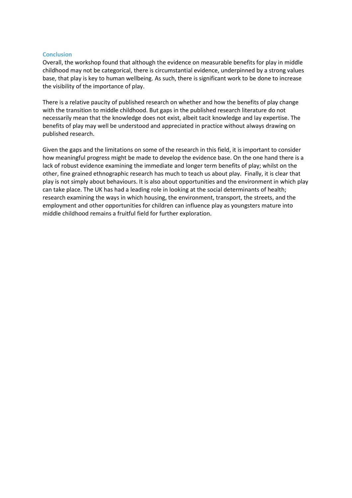#### **Conclusion**

Overall, the workshop found that although the evidence on measurable benefits for play in middle childhood may not be categorical, there is circumstantial evidence, underpinned by a strong values base, that play is key to human wellbeing. As such, there is significant work to be done to increase the visibility of the importance of play.

There is a relative paucity of published research on whether and how the benefits of play change with the transition to middle childhood. But gaps in the published research literature do not necessarily mean that the knowledge does not exist, albeit tacit knowledge and lay expertise. The benefits of play may well be understood and appreciated in practice without always drawing on published research.

Given the gaps and the limitations on some of the research in this field, it is important to consider how meaningful progress might be made to develop the evidence base. On the one hand there is a lack of robust evidence examining the immediate and longer term benefits of play; whilst on the other, fine grained ethnographic research has much to teach us about play. Finally, it is clear that play is not simply about behaviours. It is also about opportunities and the environment in which play can take place. The UK has had a leading role in looking at the social determinants of health; research examining the ways in which housing, the environment, transport, the streets, and the employment and other opportunities for children can influence play as youngsters mature into middle childhood remains a fruitful field for further exploration.